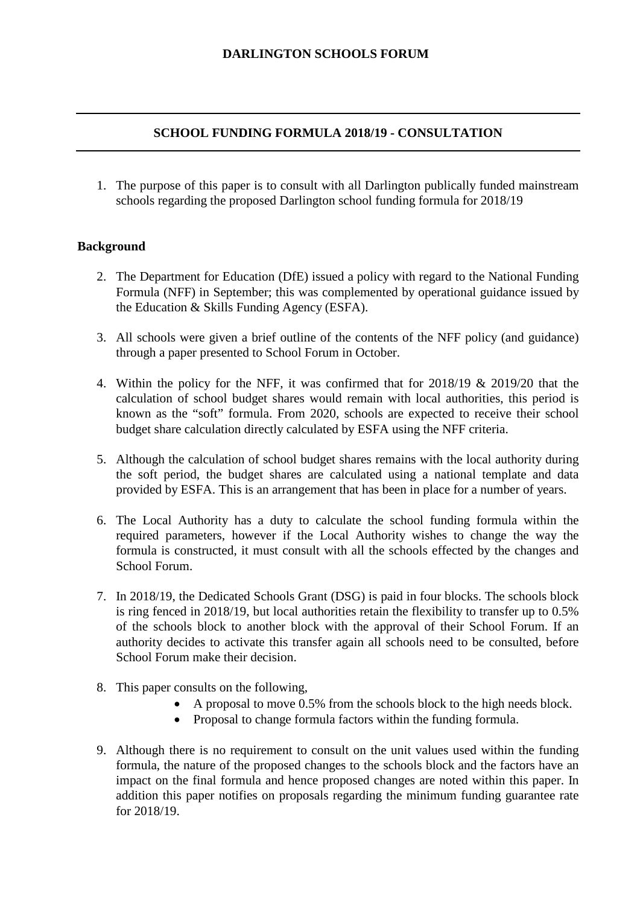### **DARLINGTON SCHOOLS FORUM**

## **SCHOOL FUNDING FORMULA 2018/19 - CONSULTATION**

1. The purpose of this paper is to consult with all Darlington publically funded mainstream schools regarding the proposed Darlington school funding formula for 2018/19

## **Background**

- 2. The Department for Education (DfE) issued a policy with regard to the National Funding Formula (NFF) in September; this was complemented by operational guidance issued by the Education & Skills Funding Agency (ESFA).
- 3. All schools were given a brief outline of the contents of the NFF policy (and guidance) through a paper presented to School Forum in October.
- 4. Within the policy for the NFF, it was confirmed that for 2018/19 & 2019/20 that the calculation of school budget shares would remain with local authorities, this period is known as the "soft" formula. From 2020, schools are expected to receive their school budget share calculation directly calculated by ESFA using the NFF criteria.
- 5. Although the calculation of school budget shares remains with the local authority during the soft period, the budget shares are calculated using a national template and data provided by ESFA. This is an arrangement that has been in place for a number of years.
- 6. The Local Authority has a duty to calculate the school funding formula within the required parameters, however if the Local Authority wishes to change the way the formula is constructed, it must consult with all the schools effected by the changes and School Forum.
- 7. In 2018/19, the Dedicated Schools Grant (DSG) is paid in four blocks. The schools block is ring fenced in 2018/19, but local authorities retain the flexibility to transfer up to 0.5% of the schools block to another block with the approval of their School Forum. If an authority decides to activate this transfer again all schools need to be consulted, before School Forum make their decision.
- 8. This paper consults on the following,
	- A proposal to move 0.5% from the schools block to the high needs block.
	- Proposal to change formula factors within the funding formula.
- 9. Although there is no requirement to consult on the unit values used within the funding formula, the nature of the proposed changes to the schools block and the factors have an impact on the final formula and hence proposed changes are noted within this paper. In addition this paper notifies on proposals regarding the minimum funding guarantee rate for 2018/19.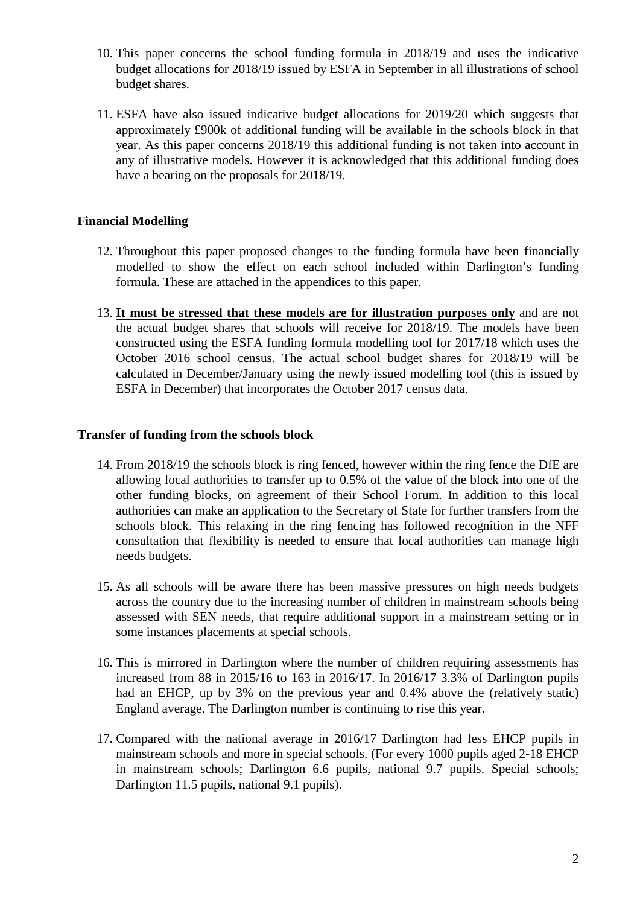- 10. This paper concerns the school funding formula in 2018/19 and uses the indicative budget allocations for 2018/19 issued by ESFA in September in all illustrations of school budget shares.
- 11. ESFA have also issued indicative budget allocations for 2019/20 which suggests that approximately £900k of additional funding will be available in the schools block in that year. As this paper concerns 2018/19 this additional funding is not taken into account in any of illustrative models. However it is acknowledged that this additional funding does have a bearing on the proposals for 2018/19.

# **Financial Modelling**

- 12. Throughout this paper proposed changes to the funding formula have been financially modelled to show the effect on each school included within Darlington's funding formula. These are attached in the appendices to this paper.
- 13. **It must be stressed that these models are for illustration purposes only** and are not the actual budget shares that schools will receive for 2018/19. The models have been constructed using the ESFA funding formula modelling tool for 2017/18 which uses the October 2016 school census. The actual school budget shares for 2018/19 will be calculated in December/January using the newly issued modelling tool (this is issued by ESFA in December) that incorporates the October 2017 census data.

## **Transfer of funding from the schools block**

- 14. From 2018/19 the schools block is ring fenced, however within the ring fence the DfE are allowing local authorities to transfer up to 0.5% of the value of the block into one of the other funding blocks, on agreement of their School Forum. In addition to this local authorities can make an application to the Secretary of State for further transfers from the schools block. This relaxing in the ring fencing has followed recognition in the NFF consultation that flexibility is needed to ensure that local authorities can manage high needs budgets.
- 15. As all schools will be aware there has been massive pressures on high needs budgets across the country due to the increasing number of children in mainstream schools being assessed with SEN needs, that require additional support in a mainstream setting or in some instances placements at special schools.
- 16. This is mirrored in Darlington where the number of children requiring assessments has increased from 88 in 2015/16 to 163 in 2016/17. In 2016/17 3.3% of Darlington pupils had an EHCP, up by 3% on the previous year and 0.4% above the (relatively static) England average. The Darlington number is continuing to rise this year.
- 17. Compared with the national average in 2016/17 Darlington had less EHCP pupils in mainstream schools and more in special schools. (For every 1000 pupils aged 2-18 EHCP in mainstream schools; Darlington 6.6 pupils, national 9.7 pupils. Special schools; Darlington 11.5 pupils, national 9.1 pupils).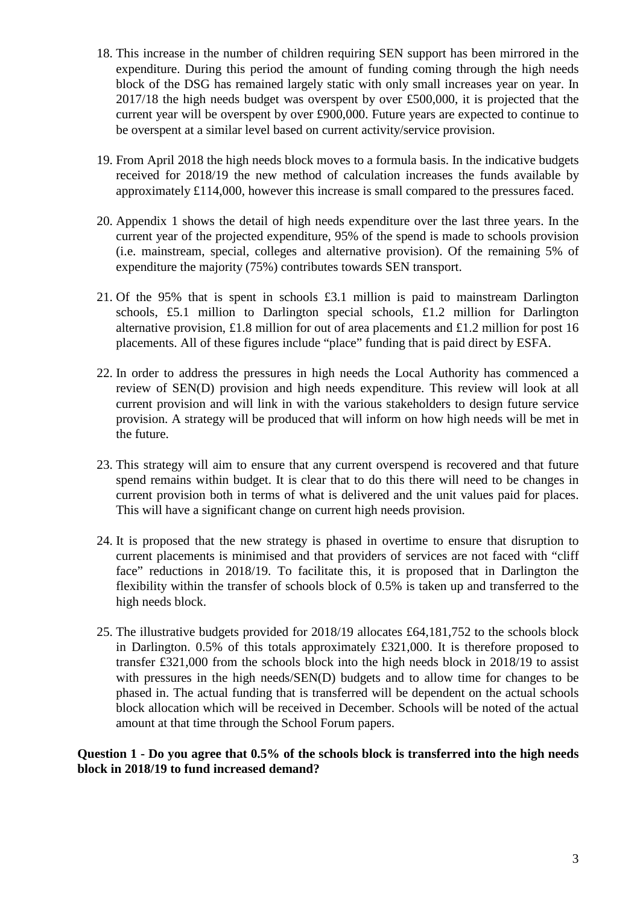- 18. This increase in the number of children requiring SEN support has been mirrored in the expenditure. During this period the amount of funding coming through the high needs block of the DSG has remained largely static with only small increases year on year. In 2017/18 the high needs budget was overspent by over £500,000, it is projected that the current year will be overspent by over £900,000. Future years are expected to continue to be overspent at a similar level based on current activity/service provision.
- 19. From April 2018 the high needs block moves to a formula basis. In the indicative budgets received for 2018/19 the new method of calculation increases the funds available by approximately £114,000, however this increase is small compared to the pressures faced.
- 20. Appendix 1 shows the detail of high needs expenditure over the last three years. In the current year of the projected expenditure, 95% of the spend is made to schools provision (i.e. mainstream, special, colleges and alternative provision). Of the remaining 5% of expenditure the majority (75%) contributes towards SEN transport.
- 21. Of the 95% that is spent in schools £3.1 million is paid to mainstream Darlington schools, £5.1 million to Darlington special schools, £1.2 million for Darlington alternative provision, £1.8 million for out of area placements and £1.2 million for post 16 placements. All of these figures include "place" funding that is paid direct by ESFA.
- 22. In order to address the pressures in high needs the Local Authority has commenced a review of SEN(D) provision and high needs expenditure. This review will look at all current provision and will link in with the various stakeholders to design future service provision. A strategy will be produced that will inform on how high needs will be met in the future.
- 23. This strategy will aim to ensure that any current overspend is recovered and that future spend remains within budget. It is clear that to do this there will need to be changes in current provision both in terms of what is delivered and the unit values paid for places. This will have a significant change on current high needs provision.
- 24. It is proposed that the new strategy is phased in overtime to ensure that disruption to current placements is minimised and that providers of services are not faced with "cliff face" reductions in 2018/19. To facilitate this, it is proposed that in Darlington the flexibility within the transfer of schools block of 0.5% is taken up and transferred to the high needs block.
- 25. The illustrative budgets provided for 2018/19 allocates £64,181,752 to the schools block in Darlington. 0.5% of this totals approximately £321,000. It is therefore proposed to transfer £321,000 from the schools block into the high needs block in 2018/19 to assist with pressures in the high needs/SEN(D) budgets and to allow time for changes to be phased in. The actual funding that is transferred will be dependent on the actual schools block allocation which will be received in December. Schools will be noted of the actual amount at that time through the School Forum papers.

**Question 1 - Do you agree that 0.5% of the schools block is transferred into the high needs block in 2018/19 to fund increased demand?**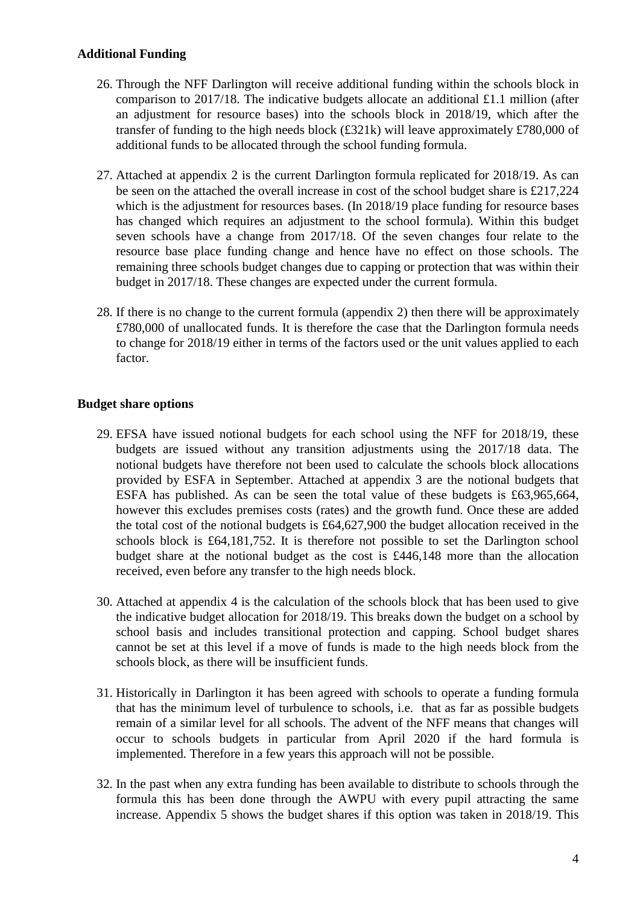### **Additional Funding**

- 26. Through the NFF Darlington will receive additional funding within the schools block in comparison to 2017/18. The indicative budgets allocate an additional £1.1 million (after an adjustment for resource bases) into the schools block in 2018/19, which after the transfer of funding to the high needs block (£321k) will leave approximately £780,000 of additional funds to be allocated through the school funding formula.
- 27. Attached at appendix 2 is the current Darlington formula replicated for 2018/19. As can be seen on the attached the overall increase in cost of the school budget share is £217,224 which is the adjustment for resources bases. (In 2018/19 place funding for resource bases has changed which requires an adjustment to the school formula). Within this budget seven schools have a change from 2017/18. Of the seven changes four relate to the resource base place funding change and hence have no effect on those schools. The remaining three schools budget changes due to capping or protection that was within their budget in 2017/18. These changes are expected under the current formula.
- 28. If there is no change to the current formula (appendix 2) then there will be approximately £780,000 of unallocated funds. It is therefore the case that the Darlington formula needs to change for 2018/19 either in terms of the factors used or the unit values applied to each factor.

## **Budget share options**

- 29. EFSA have issued notional budgets for each school using the NFF for 2018/19, these budgets are issued without any transition adjustments using the 2017/18 data. The notional budgets have therefore not been used to calculate the schools block allocations provided by ESFA in September. Attached at appendix 3 are the notional budgets that ESFA has published. As can be seen the total value of these budgets is £63,965,664, however this excludes premises costs (rates) and the growth fund. Once these are added the total cost of the notional budgets is £64,627,900 the budget allocation received in the schools block is £64,181,752. It is therefore not possible to set the Darlington school budget share at the notional budget as the cost is £446,148 more than the allocation received, even before any transfer to the high needs block.
- 30. Attached at appendix 4 is the calculation of the schools block that has been used to give the indicative budget allocation for 2018/19. This breaks down the budget on a school by school basis and includes transitional protection and capping. School budget shares cannot be set at this level if a move of funds is made to the high needs block from the schools block, as there will be insufficient funds.
- 31. Historically in Darlington it has been agreed with schools to operate a funding formula that has the minimum level of turbulence to schools, i.e. that as far as possible budgets remain of a similar level for all schools. The advent of the NFF means that changes will occur to schools budgets in particular from April 2020 if the hard formula is implemented. Therefore in a few years this approach will not be possible.
- 32. In the past when any extra funding has been available to distribute to schools through the formula this has been done through the AWPU with every pupil attracting the same increase. Appendix 5 shows the budget shares if this option was taken in 2018/19. This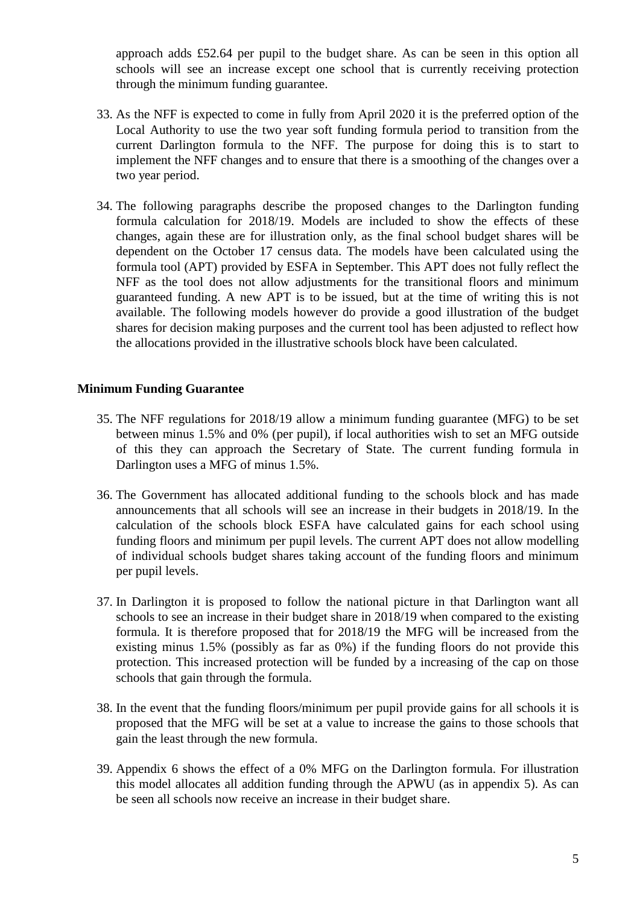approach adds £52.64 per pupil to the budget share. As can be seen in this option all schools will see an increase except one school that is currently receiving protection through the minimum funding guarantee.

- 33. As the NFF is expected to come in fully from April 2020 it is the preferred option of the Local Authority to use the two year soft funding formula period to transition from the current Darlington formula to the NFF. The purpose for doing this is to start to implement the NFF changes and to ensure that there is a smoothing of the changes over a two year period.
- 34. The following paragraphs describe the proposed changes to the Darlington funding formula calculation for 2018/19. Models are included to show the effects of these changes, again these are for illustration only, as the final school budget shares will be dependent on the October 17 census data. The models have been calculated using the formula tool (APT) provided by ESFA in September. This APT does not fully reflect the NFF as the tool does not allow adjustments for the transitional floors and minimum guaranteed funding. A new APT is to be issued, but at the time of writing this is not available. The following models however do provide a good illustration of the budget shares for decision making purposes and the current tool has been adjusted to reflect how the allocations provided in the illustrative schools block have been calculated.

### **Minimum Funding Guarantee**

- 35. The NFF regulations for 2018/19 allow a minimum funding guarantee (MFG) to be set between minus 1.5% and 0% (per pupil), if local authorities wish to set an MFG outside of this they can approach the Secretary of State. The current funding formula in Darlington uses a MFG of minus 1.5%.
- 36. The Government has allocated additional funding to the schools block and has made announcements that all schools will see an increase in their budgets in 2018/19. In the calculation of the schools block ESFA have calculated gains for each school using funding floors and minimum per pupil levels. The current APT does not allow modelling of individual schools budget shares taking account of the funding floors and minimum per pupil levels.
- 37. In Darlington it is proposed to follow the national picture in that Darlington want all schools to see an increase in their budget share in 2018/19 when compared to the existing formula. It is therefore proposed that for 2018/19 the MFG will be increased from the existing minus 1.5% (possibly as far as 0%) if the funding floors do not provide this protection. This increased protection will be funded by a increasing of the cap on those schools that gain through the formula.
- 38. In the event that the funding floors/minimum per pupil provide gains for all schools it is proposed that the MFG will be set at a value to increase the gains to those schools that gain the least through the new formula.
- 39. Appendix 6 shows the effect of a 0% MFG on the Darlington formula. For illustration this model allocates all addition funding through the APWU (as in appendix 5). As can be seen all schools now receive an increase in their budget share.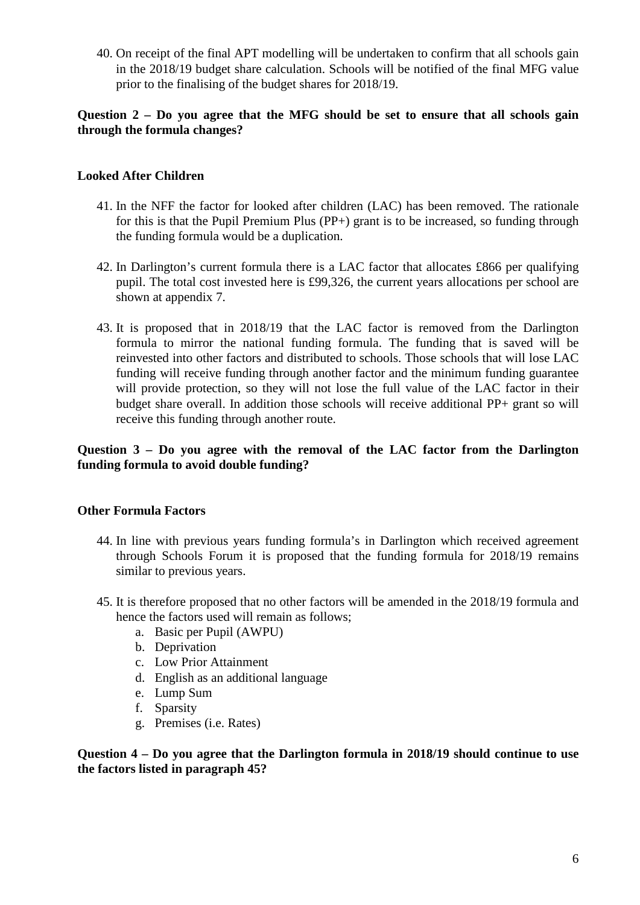40. On receipt of the final APT modelling will be undertaken to confirm that all schools gain in the 2018/19 budget share calculation. Schools will be notified of the final MFG value prior to the finalising of the budget shares for 2018/19.

## **Question 2 – Do you agree that the MFG should be set to ensure that all schools gain through the formula changes?**

# **Looked After Children**

- 41. In the NFF the factor for looked after children (LAC) has been removed. The rationale for this is that the Pupil Premium Plus (PP+) grant is to be increased, so funding through the funding formula would be a duplication.
- 42. In Darlington's current formula there is a LAC factor that allocates £866 per qualifying pupil. The total cost invested here is £99,326, the current years allocations per school are shown at appendix 7.
- 43. It is proposed that in 2018/19 that the LAC factor is removed from the Darlington formula to mirror the national funding formula. The funding that is saved will be reinvested into other factors and distributed to schools. Those schools that will lose LAC funding will receive funding through another factor and the minimum funding guarantee will provide protection, so they will not lose the full value of the LAC factor in their budget share overall. In addition those schools will receive additional PP+ grant so will receive this funding through another route.

# **Question 3 – Do you agree with the removal of the LAC factor from the Darlington funding formula to avoid double funding?**

## **Other Formula Factors**

- 44. In line with previous years funding formula's in Darlington which received agreement through Schools Forum it is proposed that the funding formula for 2018/19 remains similar to previous years.
- 45. It is therefore proposed that no other factors will be amended in the 2018/19 formula and hence the factors used will remain as follows;
	- a. Basic per Pupil (AWPU)
	- b. Deprivation
	- c. Low Prior Attainment
	- d. English as an additional language
	- e. Lump Sum
	- f. Sparsity
	- g. Premises (i.e. Rates)

**Question 4 – Do you agree that the Darlington formula in 2018/19 should continue to use the factors listed in paragraph 45?**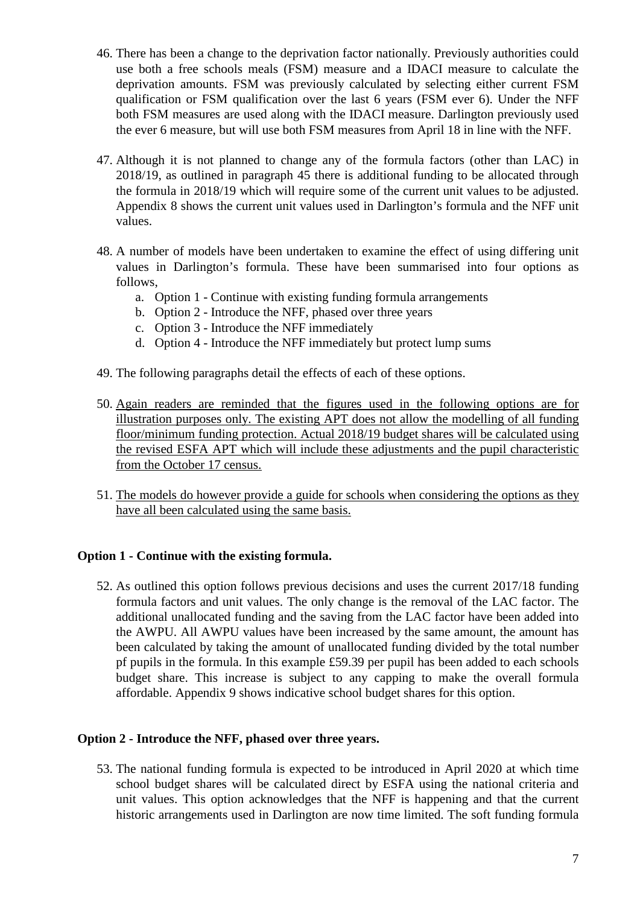- 46. There has been a change to the deprivation factor nationally. Previously authorities could use both a free schools meals (FSM) measure and a IDACI measure to calculate the deprivation amounts. FSM was previously calculated by selecting either current FSM qualification or FSM qualification over the last 6 years (FSM ever 6). Under the NFF both FSM measures are used along with the IDACI measure. Darlington previously used the ever 6 measure, but will use both FSM measures from April 18 in line with the NFF.
- 47. Although it is not planned to change any of the formula factors (other than LAC) in 2018/19, as outlined in paragraph 45 there is additional funding to be allocated through the formula in 2018/19 which will require some of the current unit values to be adjusted. Appendix 8 shows the current unit values used in Darlington's formula and the NFF unit values.
- 48. A number of models have been undertaken to examine the effect of using differing unit values in Darlington's formula. These have been summarised into four options as follows,
	- a. Option 1 Continue with existing funding formula arrangements
	- b. Option 2 Introduce the NFF, phased over three years
	- c. Option 3 Introduce the NFF immediately
	- d. Option 4 Introduce the NFF immediately but protect lump sums
- 49. The following paragraphs detail the effects of each of these options.
- 50. Again readers are reminded that the figures used in the following options are for illustration purposes only. The existing APT does not allow the modelling of all funding floor/minimum funding protection. Actual 2018/19 budget shares will be calculated using the revised ESFA APT which will include these adjustments and the pupil characteristic from the October 17 census.
- 51. The models do however provide a guide for schools when considering the options as they have all been calculated using the same basis.

### **Option 1 - Continue with the existing formula.**

52. As outlined this option follows previous decisions and uses the current 2017/18 funding formula factors and unit values. The only change is the removal of the LAC factor. The additional unallocated funding and the saving from the LAC factor have been added into the AWPU. All AWPU values have been increased by the same amount, the amount has been calculated by taking the amount of unallocated funding divided by the total number pf pupils in the formula. In this example £59.39 per pupil has been added to each schools budget share. This increase is subject to any capping to make the overall formula affordable. Appendix 9 shows indicative school budget shares for this option.

### **Option 2 - Introduce the NFF, phased over three years.**

53. The national funding formula is expected to be introduced in April 2020 at which time school budget shares will be calculated direct by ESFA using the national criteria and unit values. This option acknowledges that the NFF is happening and that the current historic arrangements used in Darlington are now time limited. The soft funding formula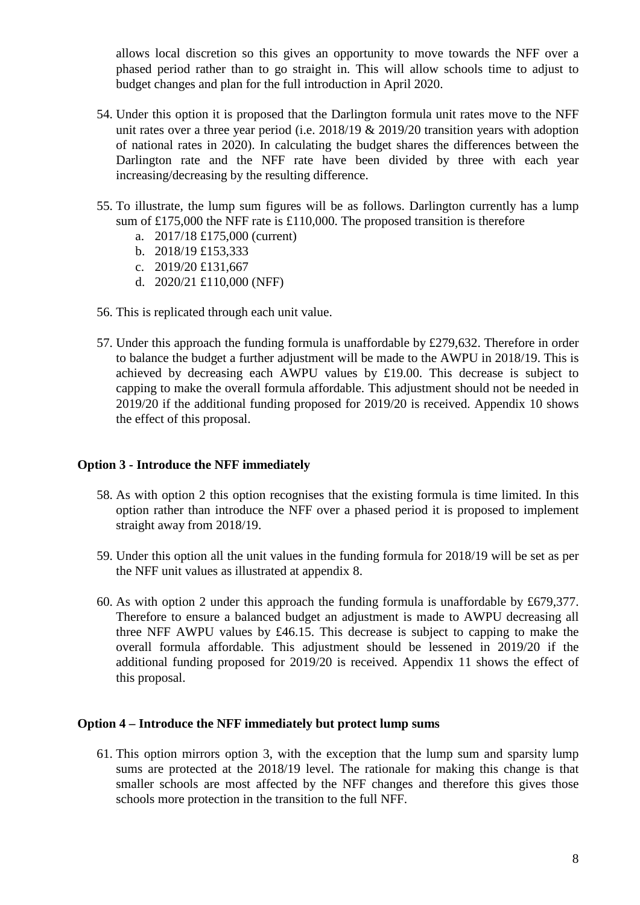allows local discretion so this gives an opportunity to move towards the NFF over a phased period rather than to go straight in. This will allow schools time to adjust to budget changes and plan for the full introduction in April 2020.

- 54. Under this option it is proposed that the Darlington formula unit rates move to the NFF unit rates over a three year period (i.e. 2018/19 & 2019/20 transition years with adoption of national rates in 2020). In calculating the budget shares the differences between the Darlington rate and the NFF rate have been divided by three with each year increasing/decreasing by the resulting difference.
- 55. To illustrate, the lump sum figures will be as follows. Darlington currently has a lump sum of £175,000 the NFF rate is £110,000. The proposed transition is therefore
	- a. 2017/18 £175,000 (current)
	- b. 2018/19 £153,333
	- c. 2019/20 £131,667
	- d. 2020/21 £110,000 (NFF)
- 56. This is replicated through each unit value.
- 57. Under this approach the funding formula is unaffordable by £279,632. Therefore in order to balance the budget a further adjustment will be made to the AWPU in 2018/19. This is achieved by decreasing each AWPU values by £19.00. This decrease is subject to capping to make the overall formula affordable. This adjustment should not be needed in 2019/20 if the additional funding proposed for 2019/20 is received. Appendix 10 shows the effect of this proposal.

### **Option 3 - Introduce the NFF immediately**

- 58. As with option 2 this option recognises that the existing formula is time limited. In this option rather than introduce the NFF over a phased period it is proposed to implement straight away from 2018/19.
- 59. Under this option all the unit values in the funding formula for 2018/19 will be set as per the NFF unit values as illustrated at appendix 8.
- 60. As with option 2 under this approach the funding formula is unaffordable by £679,377. Therefore to ensure a balanced budget an adjustment is made to AWPU decreasing all three NFF AWPU values by £46.15. This decrease is subject to capping to make the overall formula affordable. This adjustment should be lessened in 2019/20 if the additional funding proposed for 2019/20 is received. Appendix 11 shows the effect of this proposal.

### **Option 4 – Introduce the NFF immediately but protect lump sums**

61. This option mirrors option 3, with the exception that the lump sum and sparsity lump sums are protected at the 2018/19 level. The rationale for making this change is that smaller schools are most affected by the NFF changes and therefore this gives those schools more protection in the transition to the full NFF.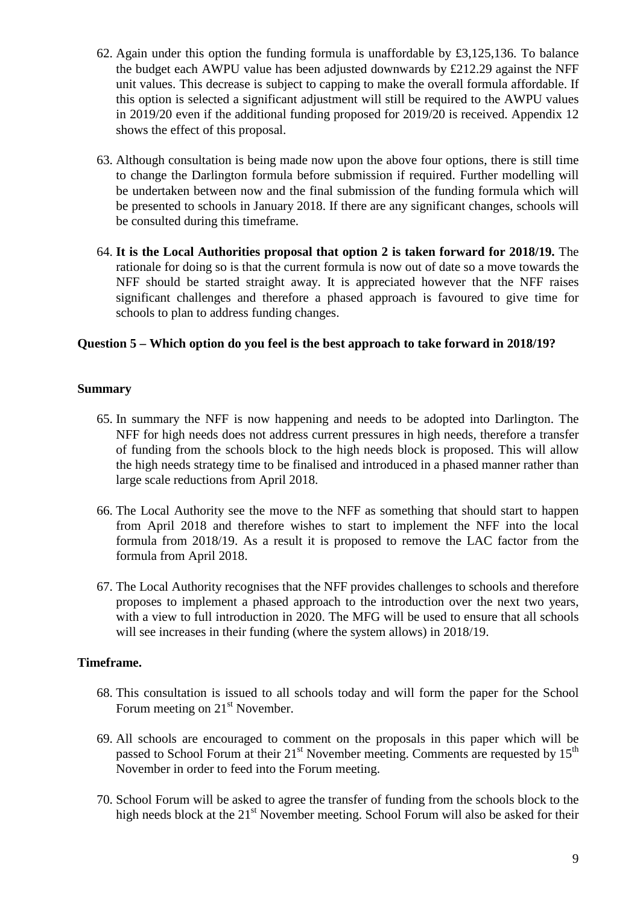- 62. Again under this option the funding formula is unaffordable by £3,125,136. To balance the budget each AWPU value has been adjusted downwards by £212.29 against the NFF unit values. This decrease is subject to capping to make the overall formula affordable. If this option is selected a significant adjustment will still be required to the AWPU values in 2019/20 even if the additional funding proposed for 2019/20 is received. Appendix 12 shows the effect of this proposal.
- 63. Although consultation is being made now upon the above four options, there is still time to change the Darlington formula before submission if required. Further modelling will be undertaken between now and the final submission of the funding formula which will be presented to schools in January 2018. If there are any significant changes, schools will be consulted during this timeframe.
- 64. **It is the Local Authorities proposal that option 2 is taken forward for 2018/19.** The rationale for doing so is that the current formula is now out of date so a move towards the NFF should be started straight away. It is appreciated however that the NFF raises significant challenges and therefore a phased approach is favoured to give time for schools to plan to address funding changes.

## **Question 5 – Which option do you feel is the best approach to take forward in 2018/19?**

### **Summary**

- 65. In summary the NFF is now happening and needs to be adopted into Darlington. The NFF for high needs does not address current pressures in high needs, therefore a transfer of funding from the schools block to the high needs block is proposed. This will allow the high needs strategy time to be finalised and introduced in a phased manner rather than large scale reductions from April 2018.
- 66. The Local Authority see the move to the NFF as something that should start to happen from April 2018 and therefore wishes to start to implement the NFF into the local formula from 2018/19. As a result it is proposed to remove the LAC factor from the formula from April 2018.
- 67. The Local Authority recognises that the NFF provides challenges to schools and therefore proposes to implement a phased approach to the introduction over the next two years, with a view to full introduction in 2020. The MFG will be used to ensure that all schools will see increases in their funding (where the system allows) in 2018/19.

### **Timeframe.**

- 68. This consultation is issued to all schools today and will form the paper for the School Forum meeting on  $21<sup>st</sup>$  November.
- 69. All schools are encouraged to comment on the proposals in this paper which will be passed to School Forum at their  $21<sup>st</sup>$  November meeting. Comments are requested by  $15<sup>th</sup>$ November in order to feed into the Forum meeting.
- 70. School Forum will be asked to agree the transfer of funding from the schools block to the high needs block at the  $21<sup>st</sup>$  November meeting. School Forum will also be asked for their